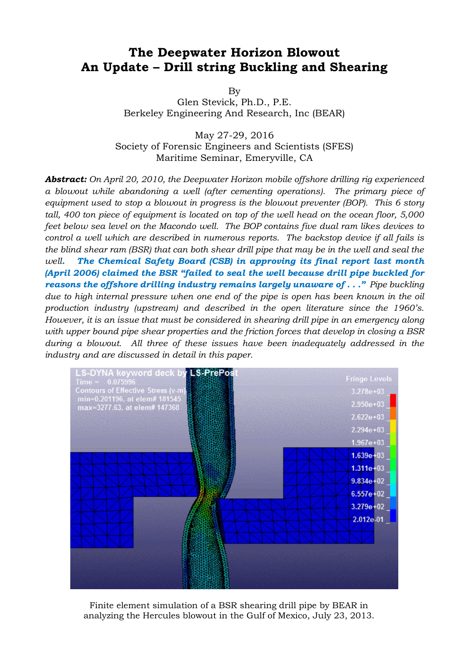# **The Deepwater Horizon Blowout An Update – Drill string Buckling and Shearing**

By

Glen Stevick, Ph.D., P.E. Berkeley Engineering And Research, Inc (BEAR)

May 27-29, 2016 Society of Forensic Engineers and Scientists (SFES) Maritime Seminar, Emeryville, CA

*Abstract: On April 20, 2010, the Deepwater Horizon mobile offshore drilling rig experienced a blowout while abandoning a well (after cementing operations). The primary piece of equipment used to stop a blowout in progress is the blowout preventer (BOP). This 6 story tall, 400 ton piece of equipment is located on top of the well head on the ocean floor, 5,000 feet below sea level on the Macondo well. The BOP contains five dual ram likes devices to control a well which are described in numerous reports. The backstop device if all fails is the blind shear ram (BSR) that can both shear drill pipe that may be in the well and seal the well. The Chemical Safety Board (CSB) in approving its final report last month (April 2006) claimed the BSR "failed to seal the well because drill pipe buckled for reasons the offshore drilling industry remains largely unaware of . . ." Pipe buckling due to high internal pressure when one end of the pipe is open has been known in the oil production industry (upstream) and described in the open literature since the 1960's. However, it is an issue that must be considered in shearing drill pipe in an emergency along with upper bound pipe shear properties and the friction forces that develop in closing a BSR during a blowout. All three of these issues have been inadequately addressed in the industry and are discussed in detail in this paper.*



Finite element simulation of a BSR shearing drill pipe by BEAR in analyzing the Hercules blowout in the Gulf of Mexico, July 23, 2013.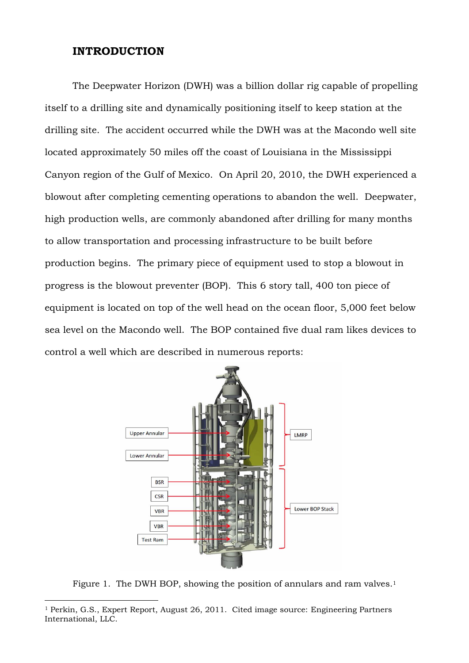## **INTRODUCTION**

The Deepwater Horizon (DWH) was a billion dollar rig capable of propelling itself to a drilling site and dynamically positioning itself to keep station at the drilling site. The accident occurred while the DWH was at the Macondo well site located approximately 50 miles off the coast of Louisiana in the Mississippi Canyon region of the Gulf of Mexico. On April 20, 2010, the DWH experienced a blowout after completing cementing operations to abandon the well. Deepwater, high production wells, are commonly abandoned after drilling for many months to allow transportation and processing infrastructure to be built before production begins. The primary piece of equipment used to stop a blowout in progress is the blowout preventer (BOP). This 6 story tall, 400 ton piece of equipment is located on top of the well head on the ocean floor, 5,000 feet below sea level on the Macondo well. The BOP contained five dual ram likes devices to control a well which are described in numerous reports:



Figure 1. The DWH BOP, showing the position of annulars and ram valves.<sup>1</sup>

<sup>1</sup> Perkin, G.S., Expert Report, August 26, 2011. Cited image source: Engineering Partners International, LLC.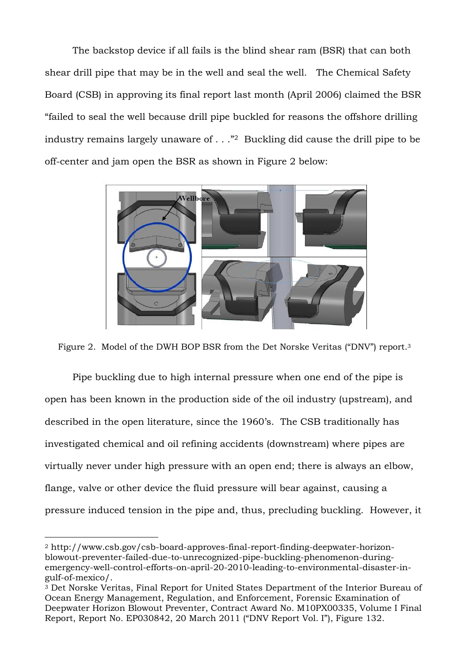The backstop device if all fails is the blind shear ram (BSR) that can both shear drill pipe that may be in the well and seal the well. The Chemical Safety Board (CSB) in approving its final report last month (April 2006) claimed the BSR "failed to seal the well because drill pipe buckled for reasons the offshore drilling industry remains largely unaware of  $\ldots$   $\mathbb{Z}$  Buckling did cause the drill pipe to be off-center and jam open the BSR as shown in Figure 2 below:



Figure 2. Model of the DWH BOP BSR from the Det Norske Veritas ("DNV") report.<sup>3</sup>

Pipe buckling due to high internal pressure when one end of the pipe is open has been known in the production side of the oil industry (upstream), and described in the open literature, since the 1960's. The CSB traditionally has investigated chemical and oil refining accidents (downstream) where pipes are virtually never under high pressure with an open end; there is always an elbow, flange, valve or other device the fluid pressure will bear against, causing a pressure induced tension in the pipe and, thus, precluding buckling. However, it

<sup>2</sup> http://www.csb.gov/csb-board-approves-final-report-finding-deepwater-horizonblowout-preventer-failed-due-to-unrecognized-pipe-buckling-phenomenon-duringemergency-well-control-efforts-on-april-20-2010-leading-to-environmental-disaster-ingulf-of-mexico/.

<sup>3</sup> Det Norske Veritas, Final Report for United States Department of the Interior Bureau of Ocean Energy Management, Regulation, and Enforcement, Forensic Examination of Deepwater Horizon Blowout Preventer, Contract Award No. M10PX00335, Volume I Final Report, Report No. EP030842, 20 March 2011 ("DNV Report Vol. I"), Figure 132.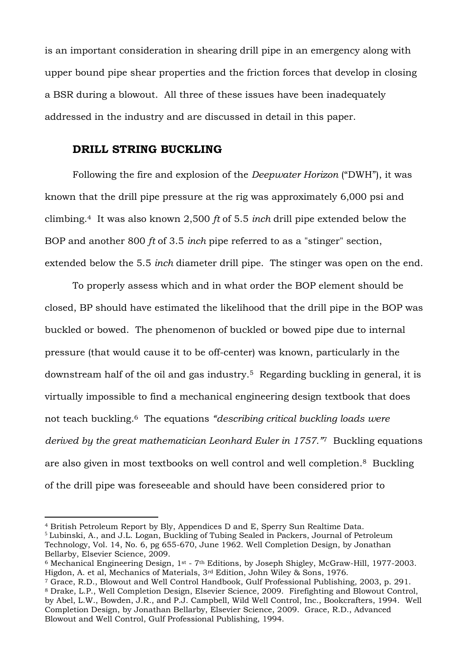is an important consideration in shearing drill pipe in an emergency along with upper bound pipe shear properties and the friction forces that develop in closing a BSR during a blowout. All three of these issues have been inadequately addressed in the industry and are discussed in detail in this paper.

## **DRILL STRING BUCKLING**

Following the fire and explosion of the *Deepwater Horizon* ("DWH"), it was known that the drill pipe pressure at the rig was approximately 6,000 psi and climbing.4 It was also known 2,500 *ft* of 5.5 *inch* drill pipe extended below the BOP and another 800 *ft* of 3.5 *inch* pipe referred to as a "stinger" section, extended below the 5.5 *inch* diameter drill pipe. The stinger was open on the end.

To properly assess which and in what order the BOP element should be closed, BP should have estimated the likelihood that the drill pipe in the BOP was buckled or bowed. The phenomenon of buckled or bowed pipe due to internal pressure (that would cause it to be off-center) was known, particularly in the downstream half of the oil and gas industry.5 Regarding buckling in general, it is virtually impossible to find a mechanical engineering design textbook that does not teach buckling.6 The equations *"describing critical buckling loads were derived by the great mathematician Leonhard Euler in 1757."*7 Buckling equations are also given in most textbooks on well control and well completion.8 Buckling of the drill pipe was foreseeable and should have been considered prior to

<sup>4</sup> British Petroleum Report by Bly, Appendices D and E, Sperry Sun Realtime Data.

<sup>5</sup> Lubinski, A., and J.L. Logan, Buckling of Tubing Sealed in Packers, Journal of Petroleum Technology, Vol. 14, No. 6, pg 655-670, June 1962. Well Completion Design, by Jonathan Bellarby, Elsevier Science, 2009.

<sup>6</sup> Mechanical Engineering Design, 1st - 7th Editions, by Joseph Shigley, McGraw-Hill, 1977-2003. Higdon, A. et al, Mechanics of Materials, 3rd Edition, John Wiley & Sons, 1976.

<sup>7</sup> Grace, R.D., Blowout and Well Control Handbook, Gulf Professional Publishing, 2003, p. 291. <sup>8</sup> Drake, L.P., Well Completion Design, Elsevier Science, 2009. Firefighting and Blowout Control, by Abel, L.W., Bowden, J.R., and P.J. Campbell, Wild Well Control, Inc., Bookcrafters, 1994. Well Completion Design, by Jonathan Bellarby, Elsevier Science, 2009. Grace, R.D., Advanced Blowout and Well Control, Gulf Professional Publishing, 1994.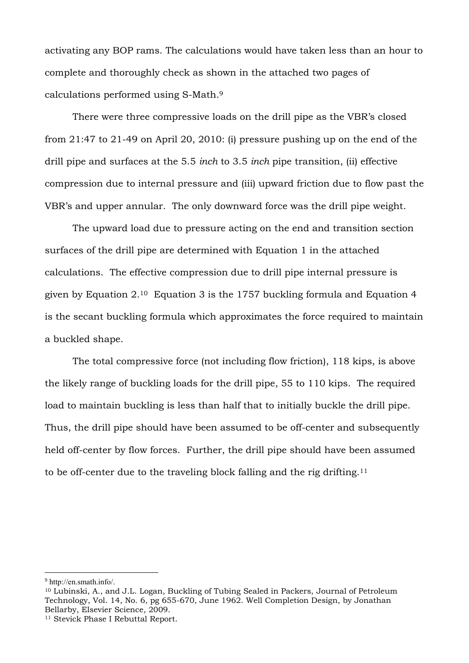activating any BOP rams. The calculations would have taken less than an hour to complete and thoroughly check as shown in the attached two pages of calculations performed using S-Math. 9

There were three compressive loads on the drill pipe as the VBR's closed from 21:47 to 21-49 on April 20, 2010: (i) pressure pushing up on the end of the drill pipe and surfaces at the 5.5 *inch* to 3.5 *inch* pipe transition, (ii) effective compression due to internal pressure and (iii) upward friction due to flow past the VBR's and upper annular. The only downward force was the drill pipe weight.

The upward load due to pressure acting on the end and transition section surfaces of the drill pipe are determined with Equation 1 in the attached calculations. The effective compression due to drill pipe internal pressure is given by Equation 2.<sup>10</sup> Equation 3 is the 1757 buckling formula and Equation 4 is the secant buckling formula which approximates the force required to maintain a buckled shape.

The total compressive force (not including flow friction), 118 kips, is above the likely range of buckling loads for the drill pipe, 55 to 110 kips. The required load to maintain buckling is less than half that to initially buckle the drill pipe. Thus, the drill pipe should have been assumed to be off-center and subsequently held off-center by flow forces. Further, the drill pipe should have been assumed to be off-center due to the traveling block falling and the rig drifting.<sup>11</sup>

<sup>9</sup> http://en.smath.info/.

<sup>10</sup> Lubinski, A., and J.L. Logan, Buckling of Tubing Sealed in Packers, Journal of Petroleum Technology, Vol. 14, No. 6, pg 655-670, June 1962. Well Completion Design, by Jonathan Bellarby, Elsevier Science, 2009.

<sup>11</sup> Stevick Phase I Rebuttal Report.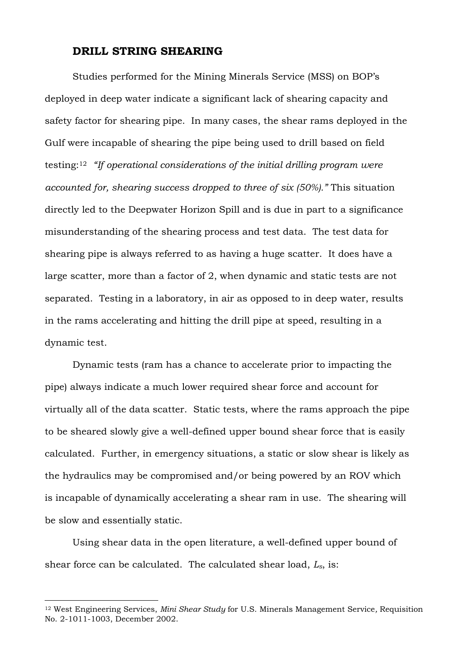#### **DRILL STRING SHEARING**

Studies performed for the Mining Minerals Service (MSS) on BOP's deployed in deep water indicate a significant lack of shearing capacity and safety factor for shearing pipe. In many cases, the shear rams deployed in the Gulf were incapable of shearing the pipe being used to drill based on field testing:<sup>12</sup> *"If operational considerations of the initial drilling program were accounted for, shearing success dropped to three of six (50%)."* This situation directly led to the Deepwater Horizon Spill and is due in part to a significance misunderstanding of the shearing process and test data. The test data for shearing pipe is always referred to as having a huge scatter. It does have a large scatter, more than a factor of 2, when dynamic and static tests are not separated. Testing in a laboratory, in air as opposed to in deep water, results in the rams accelerating and hitting the drill pipe at speed, resulting in a dynamic test.

Dynamic tests (ram has a chance to accelerate prior to impacting the pipe) always indicate a much lower required shear force and account for virtually all of the data scatter. Static tests, where the rams approach the pipe to be sheared slowly give a well-defined upper bound shear force that is easily calculated. Further, in emergency situations, a static or slow shear is likely as the hydraulics may be compromised and/or being powered by an ROV which is incapable of dynamically accelerating a shear ram in use. The shearing will be slow and essentially static.

Using shear data in the open literature, a well-defined upper bound of shear force can be calculated. The calculated shear load, *Ls*, is:

<sup>12</sup> West Engineering Services, *Mini Shear Study* for U.S. Minerals Management Service*,* Requisition No. 2-1011-1003, December 2002.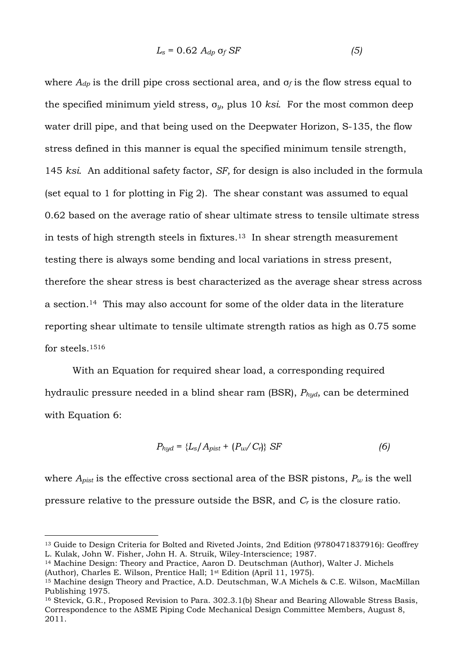$$
L_s = 0.62 A_{dp} \text{ of } SF \tag{5}
$$

where  $A_{dn}$  is the drill pipe cross sectional area, and  $\sigma_f$  is the flow stress equal to the specified minimum yield stress, σ*y*, plus 10 *ksi*. For the most common deep water drill pipe, and that being used on the Deepwater Horizon, S-135, the flow stress defined in this manner is equal the specified minimum tensile strength, 145 *ksi*. An additional safety factor, *SF,* for design is also included in the formula (set equal to 1 for plotting in Fig 2). The shear constant was assumed to equal 0.62 based on the average ratio of shear ultimate stress to tensile ultimate stress in tests of high strength steels in fixtures.13 In shear strength measurement testing there is always some bending and local variations in stress present, therefore the shear stress is best characterized as the average shear stress across a section.14 This may also account for some of the older data in the literature reporting shear ultimate to tensile ultimate strength ratios as high as 0.75 some for steels.<sup>1516</sup>

With an Equation for required shear load, a corresponding required hydraulic pressure needed in a blind shear ram (BSR), *Phyd*, can be determined with Equation 6:

$$
P_{hyd} = \{L_s / A_{pist} + (P_w / C_r)\} \text{ SF}
$$
 (6)

where  $A_{pist}$  is the effective cross sectional area of the BSR pistons,  $P_w$  is the well pressure relative to the pressure outside the BSR, and *C<sup>r</sup>* is the closure ratio.

<sup>13</sup> Guide to Design Criteria for Bolted and Riveted Joints, 2nd Edition (9780471837916): Geoffrey L. Kulak, John W. Fisher, John H. A. Struik, Wiley-Interscience; 1987.

<sup>14</sup> Machine Design: Theory and Practice, [Aaron D. Deutschman](http://www.amazon.com/Aaron-D.-Deutschman/e/B001HMMAM6/ref=ntt_athr_dp_pel_1) (Author), [Walter J. Michels](http://www.amazon.com/Walter-J.-Michels/e/B00288QS9O/ref=ntt_athr_dp_pel_2) (Author), [Charles E. Wilson,](http://www.amazon.com/Charles-E.-Wilson/e/B0028DR32A/ref=ntt_athr_dp_pel_3) Prentice Hall; 1st Edition (April 11, 1975).

<sup>&</sup>lt;sup>15</sup> Machine design Theory and Practice, A.D. Deutschman, W.A Michels & C.E. Wilson, MacMillan Publishing 1975.

<sup>16</sup> Stevick, G.R., Proposed Revision to Para. 302.3.1(b) Shear and Bearing Allowable Stress Basis, Correspondence to the ASME Piping Code Mechanical Design Committee Members, August 8, 2011.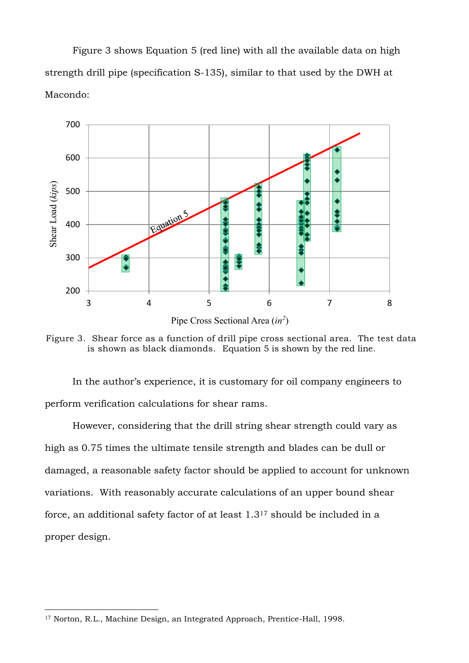Figure 3 shows Equation 5 (red line) with all the available data on high strength drill pipe (specification S-135), similar to that used by the DWH at Macondo:



Figure 3. Shear force as a function of drill pipe cross sectional area. The test data is shown as black diamonds. Equation 5 is shown by the red line.

In the author's experience, it is customary for oil company engineers to perform verification calculations for shear rams.

However, considering that the drill string shear strength could vary as high as 0.75 times the ultimate tensile strength and blades can be dull or damaged, a reasonable safety factor should be applied to account for unknown variations. With reasonably accurate calculations of an upper bound shear force, an additional safety factor of at least 1.3<sup>17</sup> should be included in a proper design.

<sup>17</sup> Norton, R.L., Machine Design, an Integrated Approach, Prentice-Hall, 1998.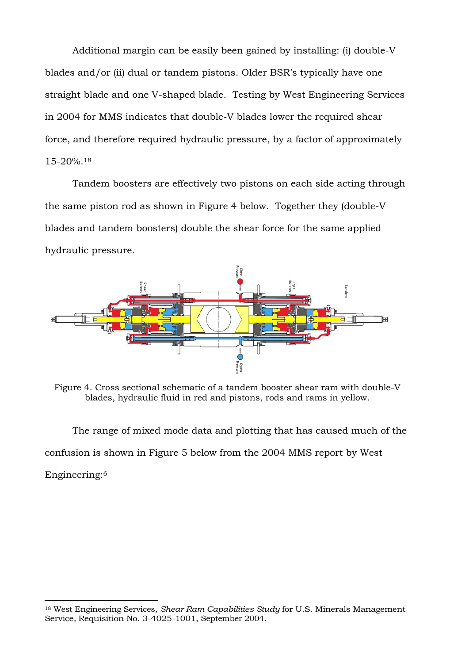Additional margin can be easily been gained by installing: (i) double-V blades and/or (ii) dual or tandem pistons. Older BSR's typically have one straight blade and one V-shaped blade. Testing by West Engineering Services in 2004 for MMS indicates that double-V blades lower the required shear force, and therefore required hydraulic pressure, by a factor of approximately 15-20%.<sup>18</sup>

Tandem boosters are effectively two pistons on each side acting through the same piston rod as shown in Figure 4 below. Together they (double-V blades and tandem boosters) double the shear force for the same applied hydraulic pressure.



Figure 4. Cross sectional schematic of a tandem booster shear ram with double-V blades, hydraulic fluid in red and pistons, rods and rams in yellow.

The range of mixed mode data and plotting that has caused much of the confusion is shown in Figure 5 below from the 2004 MMS report by West Engineering: 6

<sup>18</sup> West Engineering Services, *Shear Ram Capabilities Study* for U.S. Minerals Management Service*,* Requisition No. 3-4025-1001, September 2004.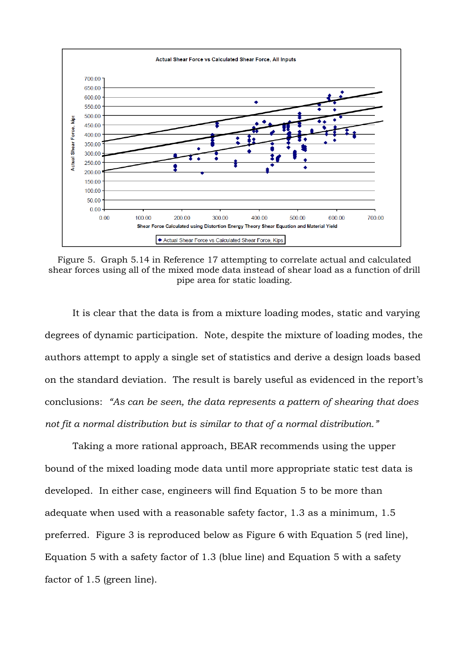

Figure 5. Graph 5.14 in Reference 17 attempting to correlate actual and calculated shear forces using all of the mixed mode data instead of shear load as a function of drill pipe area for static loading.

It is clear that the data is from a mixture loading modes, static and varying degrees of dynamic participation. Note, despite the mixture of loading modes, the authors attempt to apply a single set of statistics and derive a design loads based on the standard deviation. The result is barely useful as evidenced in the report's conclusions: *"As can be seen, the data represents a pattern of shearing that does not fit a normal distribution but is similar to that of a normal distribution."*

Taking a more rational approach, BEAR recommends using the upper bound of the mixed loading mode data until more appropriate static test data is developed. In either case, engineers will find Equation 5 to be more than adequate when used with a reasonable safety factor, 1.3 as a minimum, 1.5 preferred. Figure 3 is reproduced below as Figure 6 with Equation 5 (red line), Equation 5 with a safety factor of 1.3 (blue line) and Equation 5 with a safety factor of 1.5 (green line).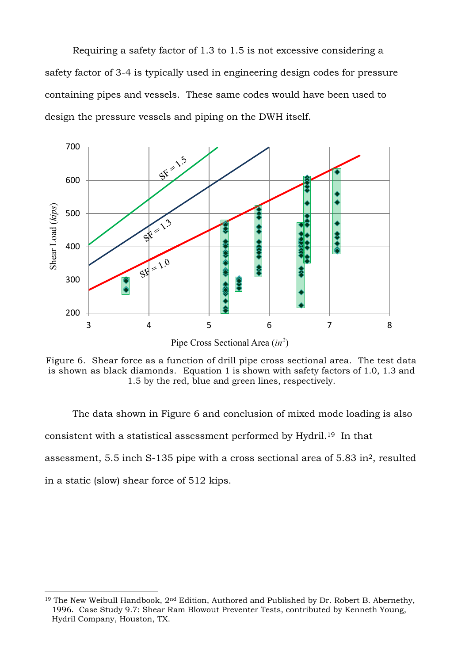Requiring a safety factor of 1.3 to 1.5 is not excessive considering a safety factor of 3-4 is typically used in engineering design codes for pressure containing pipes and vessels. These same codes would have been used to design the pressure vessels and piping on the DWH itself.



Pipe Cross Sectional Area (*in<sup>2</sup>* )

Figure 6. Shear force as a function of drill pipe cross sectional area. The test data is shown as black diamonds. Equation 1 is shown with safety factors of 1.0, 1.3 and 1.5 by the red, blue and green lines, respectively.

The data shown in Figure 6 and conclusion of mixed mode loading is also consistent with a statistical assessment performed by Hydril.19 In that assessment, 5.5 inch S-135 pipe with a cross sectional area of 5.83 in2, resulted in a static (slow) shear force of 512 kips.

<sup>&</sup>lt;sup>19</sup> The New Weibull Handbook, 2<sup>nd</sup> Edition, Authored and Published by Dr. Robert B. Abernethy, 1996. Case Study 9.7: Shear Ram Blowout Preventer Tests, contributed by Kenneth Young, Hydril Company, Houston, TX.